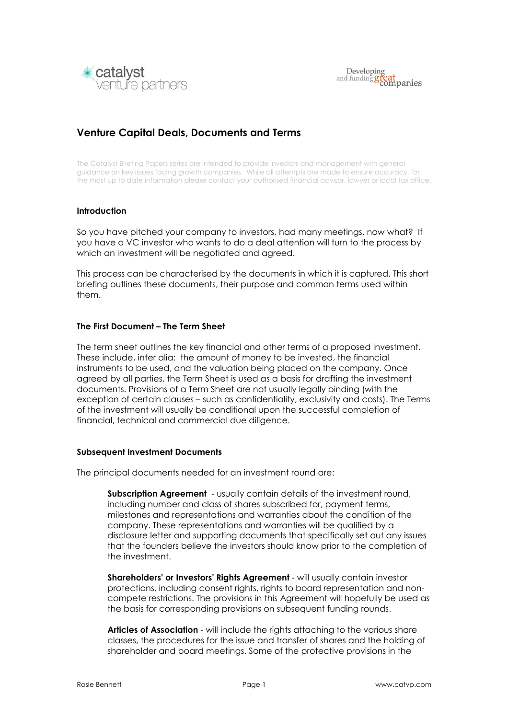

# Venture Capital Deals, Documents and Terms

The Catalyst Briefing Papers series are intended to provide investors and management with general guidance on key issues facing growth companies. While all attempts are made to ensure accuracy, for the most up to date information please contact your authorised financial advisor, lawyer or local tax office.

### **Introduction**

So you have pitched your company to investors, had many meetings, now what? If you have a VC investor who wants to do a deal attention will turn to the process by which an investment will be negotiated and agreed.

This process can be characterised by the documents in which it is captured. This short briefing outlines these documents, their purpose and common terms used within them.

### The First Document – The Term Sheet

The term sheet outlines the key financial and other terms of a proposed investment. These include, inter alia: the amount of money to be invested, the financial instruments to be used, and the valuation being placed on the company. Once agreed by all parties, the Term Sheet is used as a basis for drafting the investment documents. Provisions of a Term Sheet are not usually legally binding (with the exception of certain clauses – such as confidentiality, exclusivity and costs). The Terms of the investment will usually be conditional upon the successful completion of financial, technical and commercial due diligence.

#### Subsequent Investment Documents

The principal documents needed for an investment round are:

**Subscription Agreement** - usually contain details of the investment round, including number and class of shares subscribed for, payment terms, milestones and representations and warranties about the condition of the company. These representations and warranties will be qualified by a disclosure letter and supporting documents that specifically set out any issues that the founders believe the investors should know prior to the completion of the investment.

Shareholders' or Investors' Rights Agreement - will usually contain investor protections, including consent rights, rights to board representation and noncompete restrictions. The provisions in this Agreement will hopefully be used as the basis for corresponding provisions on subsequent funding rounds.

Articles of Association - will include the rights attaching to the various share classes, the procedures for the issue and transfer of shares and the holding of shareholder and board meetings. Some of the protective provisions in the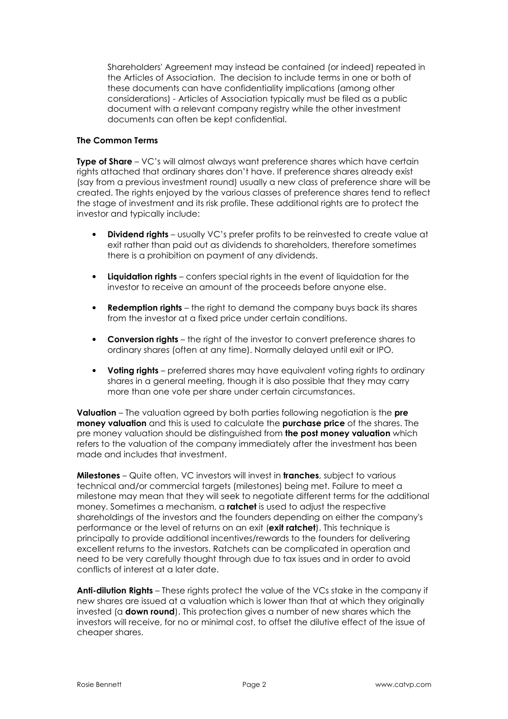Shareholders' Agreement may instead be contained (or indeed) repeated in the Articles of Association. The decision to include terms in one or both of these documents can have confidentiality implications (among other considerations) - Articles of Association typically must be filed as a public document with a relevant company registry while the other investment documents can often be kept confidential.

# The Common Terms

Type of Share – VC's will almost always want preference shares which have certain rights attached that ordinary shares don't have. If preference shares already exist (say from a previous investment round) usually a new class of preference share will be created. The rights enjoyed by the various classes of preference shares tend to reflect the stage of investment and its risk profile. These additional rights are to protect the investor and typically include:

- **Dividend rights** usually VC's prefer profits to be reinvested to create value at exit rather than paid out as dividends to shareholders, therefore sometimes there is a prohibition on payment of any dividends.
- **Liquidation rights** confers special rights in the event of liquidation for the investor to receive an amount of the proceeds before anyone else.
- **Redemption rights** the right to demand the company buys back its shares from the investor at a fixed price under certain conditions.
- Conversion rights the right of the investor to convert preference shares to ordinary shares (often at any time). Normally delayed until exit or IPO.
- Voting rights preferred shares may have equivalent voting rights to ordinary shares in a general meeting, though it is also possible that they may carry more than one vote per share under certain circumstances.

Valuation – The valuation agreed by both parties following negotiation is the pre money valuation and this is used to calculate the purchase price of the shares. The pre money valuation should be distinguished from **the post money valuation** which refers to the valuation of the company immediately after the investment has been made and includes that investment.

**Milestones** – Quite often, VC investors will invest in **tranches**, subject to various technical and/or commercial targets (milestones) being met. Failure to meet a milestone may mean that they will seek to negotiate different terms for the additional money. Sometimes a mechanism, a ratchet is used to adjust the respective shareholdings of the investors and the founders depending on either the company's performance or the level of returns on an exit (exit ratchet). This technique is principally to provide additional incentives/rewards to the founders for delivering excellent returns to the investors. Ratchets can be complicated in operation and need to be very carefully thought through due to tax issues and in order to avoid conflicts of interest at a later date.

Anti-dilution Rights – These rights protect the value of the VCs stake in the company if new shares are issued at a valuation which is lower than that at which they originally invested (a **down round**). This protection gives a number of new shares which the investors will receive, for no or minimal cost, to offset the dilutive effect of the issue of cheaper shares.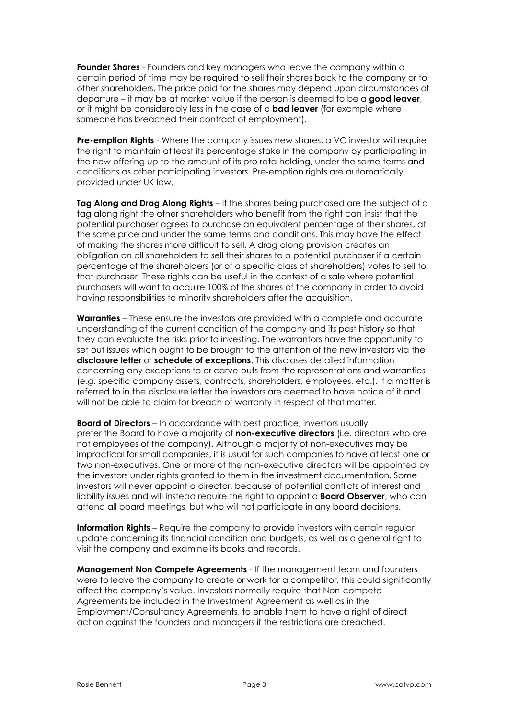Founder Shares - Founders and key managers who leave the company within a certain period of time may be required to sell their shares back to the company or to other shareholders. The price paid for the shares may depend upon circumstances of departure – it may be at market value if the person is deemed to be a good leaver, or it might be considerably less in the case of a **bad leaver** (for example where someone has breached their contract of employment).

**Pre-emption Rights** - Where the company issues new shares, a VC investor will require the right to maintain at least its percentage stake in the company by participating in the new offering up to the amount of its pro rata holding, under the same terms and conditions as other participating investors. Pre-emption rights are automatically provided under UK law.

Tag Along and Drag Along Rights  $-$  If the shares being purchased are the subject of a tag along right the other shareholders who benefit from the right can insist that the potential purchaser agrees to purchase an equivalent percentage of their shares, at the same price and under the same terms and conditions. This may have the effect of making the shares more difficult to sell. A drag along provision creates an obligation on all shareholders to sell their shares to a potential purchaser if a certain percentage of the shareholders (or of a specific class of shareholders) votes to sell to that purchaser. These rights can be useful in the context of a sale where potential purchasers will want to acquire 100% of the shares of the company in order to avoid having responsibilities to minority shareholders after the acquisition.

Warranties – These ensure the investors are provided with a complete and accurate understanding of the current condition of the company and its past history so that they can evaluate the risks prior to investing. The warrantors have the opportunity to set out issues which ought to be brought to the attention of the new investors via the disclosure letter or schedule of exceptions. This discloses detailed information concerning any exceptions to or carve-outs from the representations and warranties (e.g. specific company assets, contracts, shareholders, employees, etc.). If a matter is referred to in the disclosure letter the investors are deemed to have notice of it and will not be able to claim for breach of warranty in respect of that matter.

Board of Directors – In accordance with best practice, investors usually prefer the Board to have a majority of non-executive directors (i.e. directors who are not employees of the company). Although a majority of non-executives may be impractical for small companies, it is usual for such companies to have at least one or two non-executives. One or more of the non-executive directors will be appointed by the investors under rights granted to them in the investment documentation. Some investors will never appoint a director, because of potential conflicts of interest and liability issues and will instead require the right to appoint a **Board Observer**, who can attend all board meetings, but who will not participate in any board decisions.

Information Rights – Require the company to provide investors with certain regular update concerning its financial condition and budgets, as well as a general right to visit the company and examine its books and records.

Management Non Compete Agreements - If the management team and founders were to leave the company to create or work for a competitor, this could significantly affect the company's value. Investors normally require that Non-compete Agreements be included in the Investment Agreement as well as in the Employment/Consultancy Agreements, to enable them to have a right of direct action against the founders and managers if the restrictions are breached.